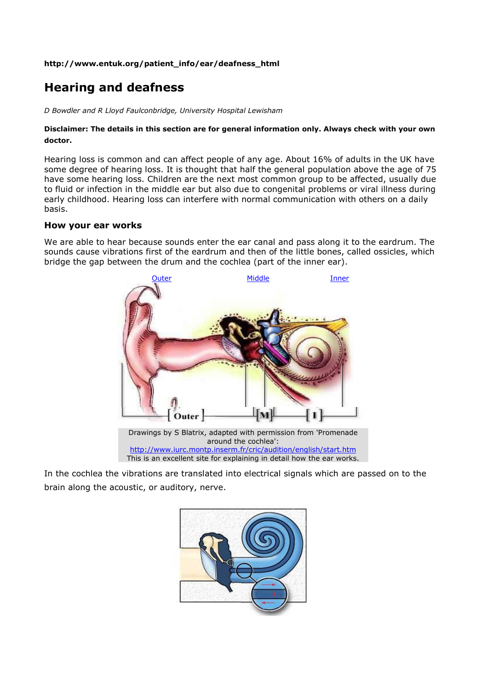### **http://www.entuk.org/patient\_info/ear/deafness\_html**

# **Hearing and deafness**

*D Bowdler and R Lloyd Faulconbridge, University Hospital Lewisham*

## **Disclaimer: The details in this section are for general information only. Always check with your own doctor.**

Hearing loss is common and can affect people of any age. About 16% of adults in the UK have some degree of hearing loss. It is thought that half the general population above the age of 75 have some hearing loss. Children are the next most common group to be affected, usually due to fluid or infection in the middle ear but also due to congenital problems or viral illness during early childhood. Hearing loss can interfere with normal communication with others on a daily basis.

## **How your ear works**

We are able to hear because sounds enter the ear canal and pass along it to the eardrum. The sounds cause vibrations first of the eardrum and then of the little bones, called ossicles, which bridge the gap between the drum and the cochlea (part of the inner ear).



In the cochlea the vibrations are translated into electrical signals which are passed on to the brain along the acoustic, or auditory, nerve.